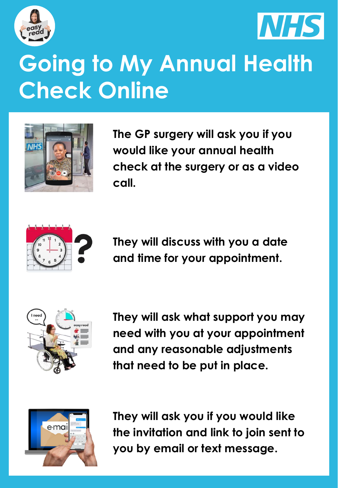



## **Going to My Annual Health Check Online**



**The GP surgery will ask you if you would like your annual health check at the surgery or as a video call.** 



**They will discuss with you a date and time for your appointment.** 



**They will ask what support you may need with you at your appointment and any reasonable adjustments that need to be put in place.** 



**They will ask you if you would like the invitation and link to join sent to you by email or text message.**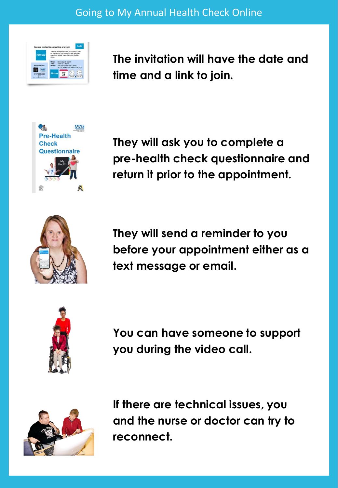

**The invitation will have the date and time and a link to join.**



**They will ask you to complete a pre-health check questionnaire and return it prior to the appointment.**



**They will send a reminder to you before your appointment either as a text message or email.** 



**You can have someone to support you during the video call.**



**If there are technical issues, you and the nurse or doctor can try to reconnect.**